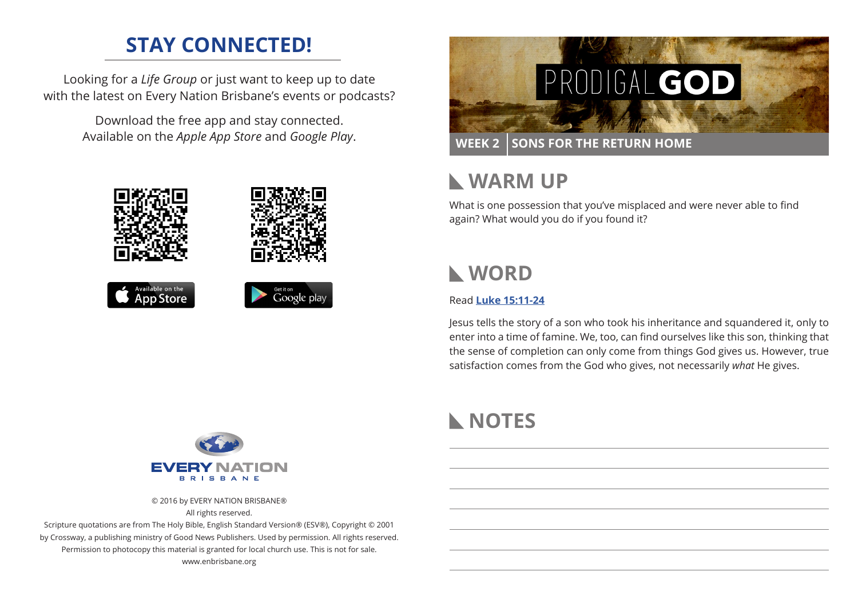# **STAY CONNECTED!**

Looking for a *Life Group* or just want to keep up to date with the latest on Every Nation Brisbane's events or podcasts?

> Download the free app and stay connected. Available on the *Apple App Store* and *Google Play*.





**WEEK 2 SONS FOR THE RETURN HOME** 

#### **WARM UP**  $\mathbf{L}$

What is one possession that you've misplaced and were never able to find again? What would you do if you found it?

# **WORD**

### Read **[Luke 15:11-24](https://www.biblegateway.com/passage/?search=Luke+15%3A11-24&version=ESV)**

Jesus tells the story of a son who took his inheritance and squandered it, only to enter into a time of famine. We, too, can find ourselves like this son, thinking that the sense of completion can only come from things God gives us. However, true satisfaction comes from the God who gives, not necessarily *what* He gives.



© 2016 by EVERY NATION BRISBANE® All rights reserved.

Scripture quotations are from The Holy Bible, English Standard Version® (ESV®), Copyright © 2001 by Crossway, a publishing ministry of Good News Publishers. Used by permission. All rights reserved. Permission to photocopy this material is granted for local church use. This is not for sale. www.enbrisbane.org

# **NOTES**